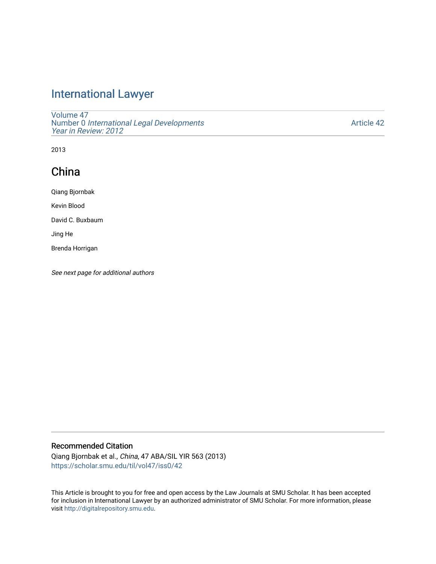# [International Lawyer](https://scholar.smu.edu/til)

[Volume 47](https://scholar.smu.edu/til/vol47) Number 0 [International Legal Developments](https://scholar.smu.edu/til/vol47/iss0) [Year in Review: 2012](https://scholar.smu.edu/til/vol47/iss0) 

[Article 42](https://scholar.smu.edu/til/vol47/iss0/42) 

2013

# China

Qiang Bjornbak

Kevin Blood

David C. Buxbaum

Jing He

Brenda Horrigan

See next page for additional authors

## Recommended Citation

Qiang Bjornbak et al., China, 47 ABA/SIL YIR 563 (2013) [https://scholar.smu.edu/til/vol47/iss0/42](https://scholar.smu.edu/til/vol47/iss0/42?utm_source=scholar.smu.edu%2Ftil%2Fvol47%2Fiss0%2F42&utm_medium=PDF&utm_campaign=PDFCoverPages)

This Article is brought to you for free and open access by the Law Journals at SMU Scholar. It has been accepted for inclusion in International Lawyer by an authorized administrator of SMU Scholar. For more information, please visit [http://digitalrepository.smu.edu](http://digitalrepository.smu.edu/).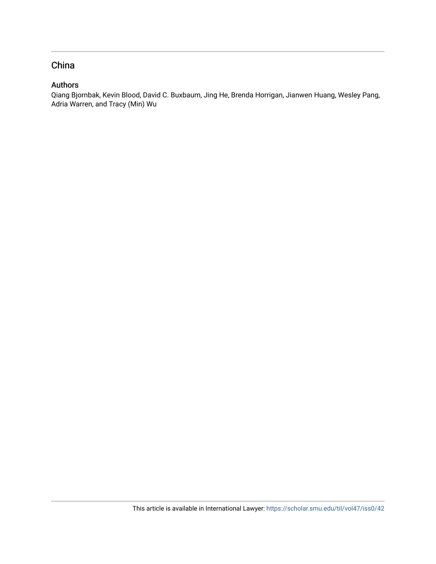## China

## Authors

Qiang Bjornbak, Kevin Blood, David C. Buxbaum, Jing He, Brenda Horrigan, Jianwen Huang, Wesley Pang, Adria Warren, and Tracy (Min) Wu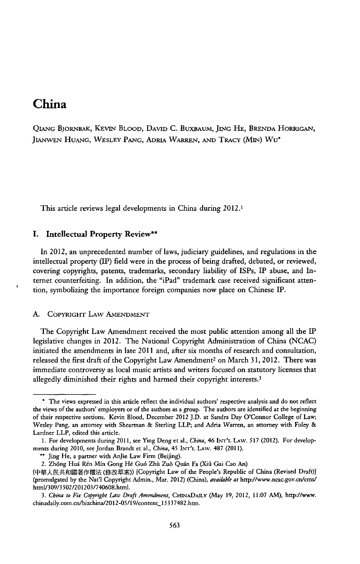## **China**

**QIANG BJORNBAK, KEVIN BLOOD, DAVID C.** BUXBAUM, JING **HE,** BRENDA HORRIGAN, **JIANWEN HUANG, WESLEY PANG, ADRIA WARREN, AND** TRAcY **(MIN) Wu\***

This article reviews legal developments in China during 2012.1

#### **I.** Intellectual **Property Review\*\***

In 2012, an unprecedented number of laws, judiciary guidelines, and regulations in the intellectual property (IP) field were in the process of being drafted, debated, or reviewed, covering copyrights, patents, trademarks, secondary liability of ISPs, IP abuse, and Internet counterfeiting. In addition, the "iPad" trademark case received significant attention, symbolizing the importance foreign companies now place on Chinese IP.

#### **A.** COPYRIGHT LAw AMENDMENT

The Copyright Law Amendment received the most public attention among all the IP legislative changes in 2012. The National Copyright Administration of China **(NCAC)** initiated the amendments in late 2011 and, after six months of research and consultation, released the first draft of the Copyright Law Amendment<sup>2</sup> on March 31, 2012. There was immediate controversy as local music artists and writers focused on statutory licenses that allegedly diminished their rights and harmed their copyright interests.<sup>3</sup>

**<sup>\*</sup>** The views expressed in this article reflect the individual authors' respective analysis and do not reflect the views of the authors' employers or of the authors as a group. The authors are identified at the beginning of their respective sections. Kevin Blood, December 2012 **J.D.** at Sandra Day O'Connor College of Law; Wesley Pang, an attorney with Shearman **&** Sterling LLP; and Adria Warren, an attorney with Foley **&** Lardner LLP, edited this article.

**<sup>1.</sup>** For developments during **2011,** see *Ying* Deng et al., *China,* 46 **INr'L LAw. 517** (2012). For developments during 2010, see Jordan Brandt et al., *China, 45* Ir'L **LAW. 487** *(2011).*

**<sup>\*\*</sup>** Jing He, a partner with AnJie Law Firm (Beijing).

<sup>2.</sup> Zh6ng Hud R~n Min Gong *H6* Gu6 Zhil Zub Quin Fa *(Xiii* Gai Cao An)

<sup>(</sup>中華人民共和國著作權法 (修改草案)) [Copyright Law of the People's Republic of China (Revised Draft)] (promulgated **by** the Nat'l Copyright Admin., Mar. 2012) *(China), available at* http://www.ncac.gov.cn/cms/ html/309/3502/201203/740608.html.

*<sup>3.</sup> China to Fix Copyigbt Law Draft Amendment,* **CHINADAILY** (May **19,** 2012, **11:07** AM), http-//www. chinadaily.com.cn/bizchina/2012-05/19/content\_15337482.htm.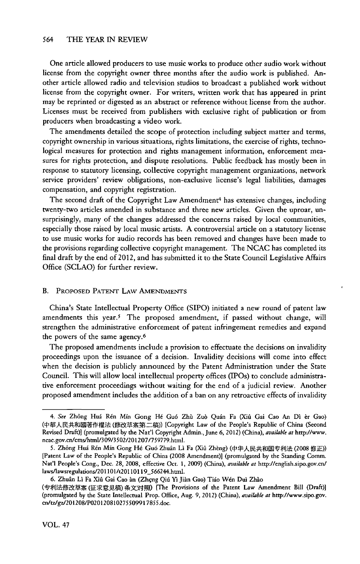One article allowed producers to use music works to produce other audio work without license from the copyright owner three months after the audio work is published. Another article allowed radio and television studios to broadcast a published work without license from the copyright owner. For writers, written work that has appeared in print may **be** reprinted or digested as an abstract or reference without license from the author. Licenses must be received from publishers with exclusive right of publication or from producers when broadcasting a video work.

The amendments detailed the scope of protection including subject matter and terms, copyright ownership in various situations, rights limitations, the exercise of rights, technological measures for protection and rights management information, enforcement measures for rights protection, and dispute resolutions. Public feedback has mostly been in response to statutory licensing, collective copyright management organizations, network service providers' review obligations, non-exclusive license's legal liabilities, damages compensation, and copyright registration.

The second draft of the Copyright Law Amendment<sup>4</sup> has extensive changes, including twenty-two articles amended in substance and three new articles. Given the uproar, unsurprisingly, many of the changes addressed the concerns raised **by** local communities, especially those raised **by** local music artists. **A** controversial article on a statutory license to use music works for audio records has been removed and changes have been made to the provisions regarding collective copyright management. The **NCAC** has completed its final draft **by** the end of 2012, and has submitted it to the State Council Legislative Affairs Office **(SCLAO)** for further review.

## B. **PROPOSED PATENT LAw AMENDMENTS**

China's State Intellectual Property Office **(SIPO)** initiated a new round of patent law amendments this year.<sup>5</sup> The proposed amendment, if passed without change, will strengthen the administrative enforcement of patent infringement remedies and expand the powers of the same agency.6

The proposed amendments include a provision to effectuate the decisions on invalidity proceedings upon the issuance of a decision. Invalidity decisions will come into effect when the decision is publicly announced **by** the Patent Administration under the State Council. This will allow local intellectual property offices (IPOs) to conclude administrative enforcement proceedings without waiting for the end of a judicial review. Another proposed amendment includes the addition of a ban on any retroactive effects of invalidity

*<sup>4.</sup> See* Zh6ng Hui R~n **Min** Gong **H6** Gu6 Zhis Zu6 Quin Fa (Xifi Gai Cao An **Di** r Gao) (中華人民共和國著作權法 (修改草案第二稿)) [Copyright Law of the People's Republic of China (Second Revised Draft)] (promulgated **by** the Nat'l Copyright Admin., June **6,** 2012) *(China), available at* http://www. ncac.gov.cn/cms/htmV309/3502/201207/759779.html.

*<sup>5.</sup>* Zh6ng Hui Rin Min Gong **H6** Gu6 Zhuin Li Fa (Xii Zhbng) (@@ R MiJE **(2008 \$iE))** [Patent Law of the People's Republic of China **(2008** Amendment)] (promulgated **by** the Standing Comm. Nat'l People's Cong., Dec. **28, 2008,** effective Oct. **1, 2009)** (China), *available at* http://english.sipo.gov.cn/ laws/lawsregulations/201101/t20110119\_566244.html.

**<sup>6.</sup>** Zhuin Li Fa Xifi Gai Cao an (Zhing Qii **Yi Jian Gao) Tiio W6n Dul Zhio**

<sup>(</sup>专利法修改草案 (征求意见稿) 条文对照) [The Provisions of the Patent Law Amendment Bill (Draft)] (promulgated **by** the State Intellectual Prop. Office, Aug. **9,** 2012) *(China), available at* http://www.sipo.gov. cn/tz/gz/201208/PO20120810275509917855.doc.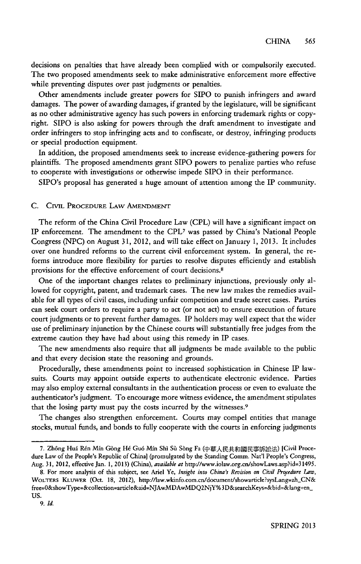decisions on penalties that have already been complied with or compulsorily executed. The two proposed amendments seek to make administrative enforcement more effective while preventing disputes over past judgments or penalties.

Other amendments include greater powers for **SIPO** to punish infringers and award damages. The power of awarding damages, if granted **by** the legislature, will be significant as no other administrative agency has such powers in enforcing trademark rights or copyright. **SIPO** is also asking for powers through the draft amendment to investigate and order infringers to stop infringing acts and to confiscate, or destroy, infringing products or special production equipment.

In addition, the proposed amendments seek to increase evidence-gathering powers for plaintiffs. The proposed amendments grant SIPO powers to penalize parties who refuse to cooperate with investigations or otherwise impede **SIPO** in their performance.

SIPO's proposal has generated a huge amount of attention among the IP community.

#### **C. CIVIL PROCEDURE** LAw **AMENDMENT**

The reform of the China Civil Procedure Law (CPL) will have a significant impact on IP enforcement. The amendment to the **CPL7** was passed **by** China's National People Congress **(NPC)** on August **31,** 2012, and will take effect on January **1, 2013.** It includes over one hundred reforms to the current civil enforcement system. In general, the reforms introduce more flexibility for parties to resolve disputes efficiently and establish provisions for the effective enforcement of court decisions.8

One of the important changes relates to preliminary injunctions, previously only allowed for copyright, patent, and trademark cases. The new law makes the remedies available for all types of civil cases, including unfair competition and trade secret cases. Parties can seek court orders to require a party to act (or not act) to ensure execution of future court judgments or to prevent further damages. IP holders may well expect that the wider use of preliminary injunction **by** the Chinese courts will substantially free judges from the extreme caution they have had about using this remedy in IP cases.

The new amendments also require that all judgments be made available to the public and that every decision state the reasoning and grounds.

Procedurally, these amendments point to increased sophistication in Chinese **IP** lawsuits. Courts may appoint outside experts to authenticate electronic evidence. Parties may also employ external consultants in the authentication process or even to evaluate the authenticator's judgment. To encourage more witness evidence, the amendment stipulates that the losing party must pay the costs incurred **by** the witnesses.<sup>9</sup>

The changes also strengthen enforcement. Courts may compel entities that manage stocks, mutual funds, and bonds to fully cooperate with the courts in enforcing judgments

<sup>7.</sup> Zhông Huá Rén Mín Gòng Hé Guó Mín Shì Sù Sòng Fa (中華人民共和國民事訴訟法) [Civil Procedure Law of the People's Republic of China} (promulgated **by** the Standing Comm. Nat'l People's Congress, Aug. **31,** 2012, effective Jan. **1, 2013)** (China), *available at* http://www.iolaw.org.cn/showLaws.asp?id=31495.

<sup>8.</sup> For more analysis of this subject, see Ariel Ye, *Insight into China's Revision on Civil Procedure Law*, WOLTERS KLUWER (Oct. 18, 2012), http://law.wkinfo.com.cn/document/showarticle?sysLang=zh\_CN& free=0&showType=&collection=article&aid=NJAwMDAwMDQ2NjY%3D&searchKeys=&bid=&lang=en-**Us.**

**<sup>9.</sup>** *Id.*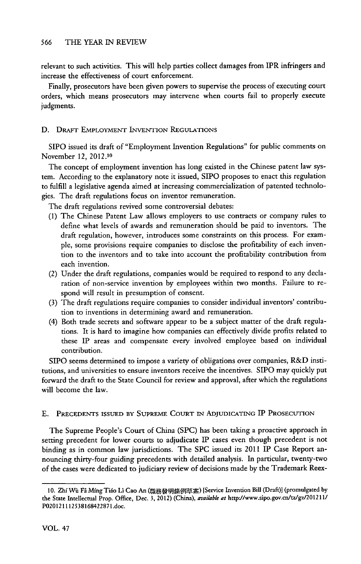relevant to such activities. This will help parties collect damages from IPR infringers and increase the effectiveness of court enforcement.

Finally, prosecutors have been given powers to supervise the process of executing court orders, which means prosecutors may intervene when courts fail to properly execute judgments.

### **D. DRAFT EMPLOYMENT INVENTION REGULATIONS**

**SIPO** issued its draft of "Employment Invention Regulations" for public comments on November 12, 2012.10

The concept of employment invention has long existed in the Chinese patent law **sys**tem. According to the explanatory note it issued, **SIPO** proposes to enact this regulation to fulfill a legislative agenda aimed at increasing commercialization of patented technologies. The draft regulations focus on inventor remuneration.

The draft regulations revived some controversial debates:

- **(1)** The Chinese Patent Law allows employers to use contracts or company rules to define what levels of awards and remuneration should be paid to inventors. The draft regulation, however, introduces some constraints on this process. For example, some provisions require companies to disclose the profitability of each invention to the inventors and to take into account the profitability contribution from each invention.
- *(2)* Under the draft regulations, companies would be required to respond to any declaration of non-service invention **by** employees within two months. Failure to respond will result in presumption of consent.
- **(3)** The draft regulations require companies to consider individual inventors' contribution to inventions in determining award and remuneration.
- (4) Both trade secrets and software appear to be a subject matter of the draft regulations. It is hard to imagine how companies can effectively divide profits related to these IP areas and compensate every involved employee based on individual contribution.

SIPO seems determined to impose a variety of obligations over companies, R&D institutions, and universities to ensure inventors receive the incentives. SIPO may quickly put forward the draft to the State Council for review and approval, after which the regulations will become the law.

#### **E. PRECEDENTS ISSUED BY SUPREME COURT IN ADJUDICATING** IP **PROSECUTION**

The Supreme People's Court of China **(SPC)** has been taking a proactive approach in setting precedent for lower courts to adjudicate IP cases even though precedent is not binding as in common law jurisdictions. The **SPC** issued its 2011 **IP** Case Report announcing thirty-four guiding precedents with detailed analysis. In particular, twenty-two of the cases were dedicated to judiciary review of decisions made **by** the Trademark Reex-

<sup>10.</sup> Zhí Wù Fâ Míng Tiáo Lì Cao An (職務發明條例草案) [Service Invention Bill (Draft)] (promulgated by **the** State **Intellectual Prop.** Office, **Dec. 3, 2012) (China),** *availabk at* **http-//www.sipo.gov.cn/tz/gz/2012 11/ P020121112538168422871.doc.**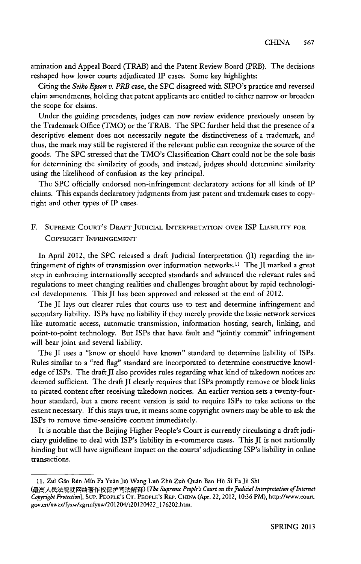amination and Appeal Board (TRAB) and the Patent Review Board (PRB). The decisions reshaped how lower courts adjudicated IP cases. Some key highlights:

Citing the Seiko *Epson v. PRB* case, the **SPC** disagreed with SIPO's practice and reversed claim amendments, holding that patent applicants are entitled to either narrow or broaden the scope for claims.

Under the guiding precedents, judges can now review evidence previously unseen **by** the Trademark Office (TMO) or the TRAB. The **SPC** further **held** that the presence of a descriptive element does not necessarily negate the distinctiveness of a trademark, and thus, the mark may still be registered if the relevant public can recognize the source of the goods. The **SPC** stressed that the TMO's Classification Chart could not **be** the sole basis for determining the similarity of goods, and instead, judges should determine similarity using the likelihood of confusion as the key principal.

The **SPC** officially endorsed non-infringement declaratory actions for all kinds of IP claims. This expands declaratory judgments from just patent and trademark cases to copyright and other types of IP cases.

## F. **SUPREME CoURT's** DRAFr **JUDICIAL INTERPRETATION OVER** ISP LiABITrrY **FOR COPYRIGHT INFRINGEMENT**

In April 2012, the **SPC** released a draft Judicial Interpretation **(J)** regarding the infringement of rights of transmission over information networks.I" The JI marked a great step in embracing internationally accepted standards and advanced the relevant rules and regulations to meet changing realities and challenges brought about **by** rapid technological developments. This **JI** has been approved and released at the end of 2012.

The **JI** lays out clearer rules that courts use to test and determine infringement and secondary liability. ISPs have no liability if they merely provide the basic network services like automatic access, automatic transmission, information hosting, search, linking, and point-to-point technology. But ISPs that have fault and "jointly commit" infringement will bear joint and several liability.

The JI uses a "know or should have known" standard to determine liability of ISPs. Rules similar to a "red flag" standard are incorporated to determine constructive knowledge of ISPs. The draft II also provides rules regarding what kind of takedown notices are deemed sufficient. The draft JI clearly requires that ISPs promptly remove or block links to pirated content after receiving takedown notices. An earlier version sets a twenty-fourhour standard, but a more recent version is said to require ISPs to take actions to the extent necessary. **If** this stays true, **it** means some copyright owners may be able to ask the ISPs to remove time-sensitive content immediately.

It is notable that the Beijing Higher People's Court is currently circulating a draft judiciary guideline to deal with ISP's liability in e-commerce cases. This **JI** is not nationally binding but will have significant impact on the courts' adjudicating ISP's liability in online transactions.

**<sup>11.</sup>** Zul Gio R6n Min Fa Yuin Jiii Wang **Lub** Zhii Zu6 **Quin** Bao **Hii** Si Fa Jil **Shi**

<sup>(</sup>最高人民法院就网络著作权保护司法解释) [The Supreme People's Court on the *Judicial Interpretation of Internet Copyight Prorection],* **SU. PEOPLE'S CT. PEOPLE's REP.** CHINA (Apr. 22, 2012, **10:36 PM), http://www.court. gov.cn/xwzx/fyxw/zgrmfyxw/201204/t20120422\_176202.htm.**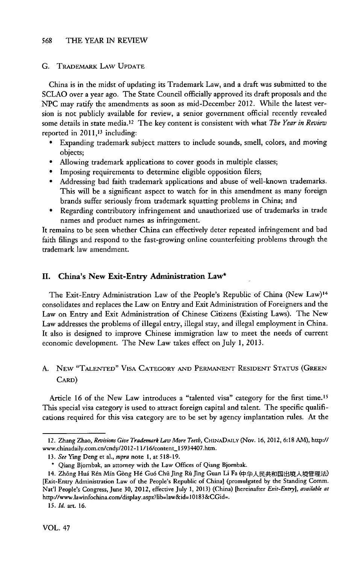#### *G.* TRADEMARK LAW UPDATE

China is in the midst of updating its Trademark Law, and a draft was submitted to the **SCLAO** over a year ago. The State Council officially approved its draft proposals and the **NPC** may ratify the amendments as soon as mid-December 2012. While the latest version is not publicly available for review, a senior government official recently revealed some details in state media. 12 The key content is consistent with what *The Year in Review* reported in **2011,13** including:

- \* Expanding trademark subject matters to include sounds, smell, colors, and moving objects;
- Allowing trademark applications to cover goods in multiple classes;
- \* Imposing requirements to determine eligible opposition filers;
- \* Addressing bad faith trademark applications and abuse of well-known trademarks. This will be a significant aspect to watch for in this amendment as many foreign brands suffer seriously from trademark squatting problems in China; and
- \* Regarding contributory infringement and unauthorized use of trademarks in trade names and product names as infringement.

It remains to be seen whether China can effectively deter repeated infringement and bad faith filings and respond to the fast-growing online counterfeiting problems through the trademark law amendment.

#### **II.** China's New Exit-Entry Administration Law\*

The Exit-Entry Administration Law of the People's Republic of China (New Law)<sup>14</sup> consolidates and replaces the Law on Entry and Exit Administration of Foreigners and the Law on Entry and Exit Administration of Chinese Citizens (Existing Laws). The New Law addresses the problems of illegal entry, illegal stay, and illegal employment in China. It also is designed to improve Chinese immigration law to meet the needs of current economic development. The New Law takes effect on July **1, 2013.**

## **A. NEW "TALENTED" VISA CATEGORY AND** PERMANENT **RESIDENT STATUS (GREEN** CARD)

Article 16 of the New Law introduces a "talented visa" category for the first time.<sup>15</sup> This special visa category is used to attract foreign capital and talent. The specific qualifications required for this visa category are to be set **by** agency implantation rules. At the

<sup>12.</sup> Zhang Zhao, *Revisions Give Trademark Law More Teeth,* **CHINADAILY** (Nov. **16,** 2012, **6:18 AM), http://** www.chinadaily.com.cn/cndy/2012-11/16/content\_1 5934407.htn.

*<sup>13.</sup> See* Ying Deng et al., *supra* note **1,** at **518-19.**

**<sup>\*</sup>** Qiang Bjornbak, an attorney with the Law Offices of Qiang Bjornbak.

<sup>14.</sup> Zhông Huá Rén Mín Gòng Hé Guó Chû Jìng Rù Jìng Guan Li Fa (中华人民共和国出境人境管理法) [Exit-Entry Administration Law of the People's Republic of China] (promulgated **by** the Standing Comm. Nat'l People's Congress, June **30, 2012,** effective July **1, 2013)** (China) [hereinafter *Erit-Entry], available at* http//www.lawinfochina.com/display.aspx?lib=law&id=10183&CGid=.

*<sup>15.</sup> Id.* art. **16.**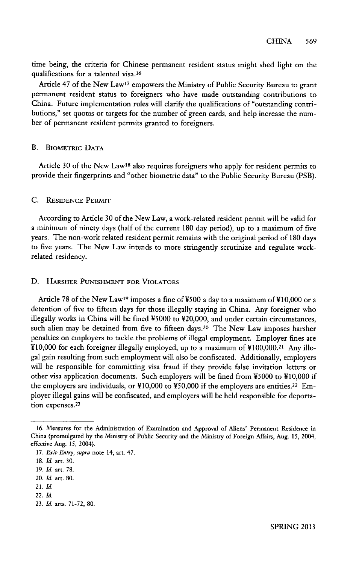time being, the criteria for Chinese permanent resident status might shed light on the qualifications for a talented visa.16

Article 47 of the New Law<sup>17</sup> empowers the Ministry of Public Security Bureau to grant permanent resident status to foreigners who have made outstanding contributions to China. Future implementation rules will clarify the qualifications of "outstanding contributions," set quotas or targets for the number of green cards, and help increase the number of permanent resident permits granted to foreigners.

#### B. BioMETRic **DATA**

Article 30 of the New Law<sup>18</sup> also requires foreigners who apply for resident permits to provide their fingerprints and "other biometric data" to the Public Security Bureau (PSB).

#### **C. RESIDENCE PERMIT**

According to Article **30** of the New Law, a work-related resident permit will be valid for a minimum of ninety days (half of the current **180** day period), up to a maximum of five years. The non-work related resident permit remains with the original period of **180** days to five years. The New Law intends to more stringently scrutinize and regulate workrelated residency.

#### **D.** HARSHER **PUNISHMENT FOR VIOLATORS**

Article 78 of the New Law<sup>19</sup> imposes a fine of ¥500 a day to a maximum of ¥10,000 or a detention of five to fifteen days for those illegally staying in China. Any foreigner who illegally works in China will be fined **V5000** to V20,000, and under certain circumstances, such alien may be detained from five to fifteen days.<sup>20</sup> The New Law imposes harsher penalties on employers to tackle the problems of illegal employment. Employer fines are **YIO,000** for each foreigner illegally employed, up to a maximum of Y100,000.21 Any illegal gain resulting from such employment will also be confiscated. Additionally, employers will be responsible for committing visa fraud if they provide false invitation letters or other visa application documents. Such employers will be fined from **V5000** to **V10,000** if the employers are individuals, or **Y10,000** to **V50,000** if the employers are entities. 22 Employer illegal gains will be confiscated, and employers will be held responsible for deportation expenses.<sup>23</sup>

**<sup>16.</sup>** Measures for the Administration of Examination and Approval of Aliens' Permanent Residence in China (promulgated **by** the Ministry of Public Security and the Ministry of Foreign Affairs, Aug. **15,** 2004, effective Aug. **15,** 2004).

**<sup>17.</sup>** *Exit-Entry, supra* note 14, art. 47.

*<sup>18.</sup> Id.* art. **30.**

**<sup>19.</sup>** *Id.* art. **78.**

*<sup>20.</sup> Id.* art. **80.**

*<sup>21.</sup> Id.*

*<sup>22.</sup> Id.*

**<sup>23.</sup>** *Id.* arts. **71-72, 80.**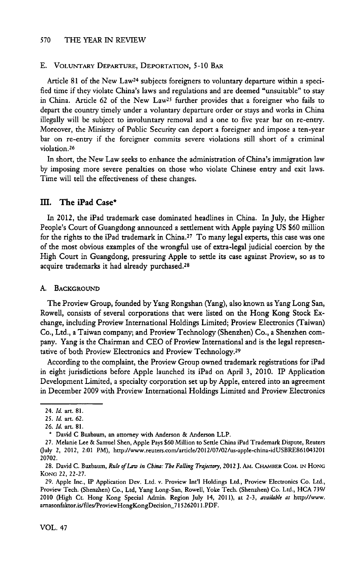#### **E.** VOLUNTARY DEPARTURE, DEPORTATION, **5-10** BAR

Article **81** of the New Law24 subjects foreigners to voluntary departure within a specified time if they violate China's laws and regulations and are deemed "unsuitable" to stay in China. Article **62** of the New LaW25 further provides that a foreigner who fails to depart the country timely under a voluntary departure order or stays and works **in** China illegally will be subject to involuntary removal and a one to five year bar on re-entry. Moreover, the Ministry of Public Security can deport a foreigner and impose a ten-year bar on re-entry if the foreigner commits severe violations still short of a criminal violation. <sup>26</sup>

In short, the New Law seeks to enhance the administration of China's immigration law **by** imposing more severe penalties on those who violate Chinese entry and exit laws. Time will tell the effectiveness of these changes.

#### m. **The iPad Case\***

In 2012, the iPad trademark case dominated headlines in China. In July, the Higher People's Court of Guangdong announced a settlement with Apple paying **US \$60** million for the rights to the iPad trademark in China.27 To many legal experts, this case was one of the most obvious examples of the wrongful use of extra-legal judicial coercion **by** the **High** Court in Guangdong, pressuring Apple to settle **its** case against Proview, so as to acquire trademarks it had already purchased.28

#### **A. BACKGROUND**

The Proview Group, founded **by** Yang Rongshan (Yang), also known as Yang Long San, Rowell, consists of several corporations that were listed on the Hong Kong Stock Exchange, including Proview International Holdings Limited; Proview Electronics (Taiwan) Co., Ltd., a Taiwan company; and Proview Technology (Shenzhen) Co., a Shenzhen company. Yang is the Chairman and **CEO** of Proview International and is the legal representative of both Proview Electronics and Proview Technology.<sup>29</sup>

According to the complaint, the Proview Group owned trademark registrations for iPad in eight jurisdictions before **Apple** launched its iPad on April **3,** 2010. IP Application Development Limited, a specialty corporation set up **by** Apple, entered into an agreement in December **2009** with Proview International Holdings Limited and Proview Electronics

<sup>24.</sup> *Id.* art. **81.**

**<sup>25.</sup>** *Id.* art. **62.**

*<sup>26.</sup> Id.* **art. 81.**

**<sup>\*</sup>** David **C Buxbaum, an attorney with Anderson & Anderson LLP.**

**<sup>27.</sup>** Melanie Lee **&** Samuel Shen, Apple Pays **\$60** Million to Settle China iPad Trademark Dispute, Reuters (uly 2, 2012, 2:01 PM), http://www.reuters.com/article/2012/07/02/us-apple-china-idUSBRE861043201 **20702.**

**<sup>28.</sup>** David **C.** Buxbaum, *Rule ofLaw in China: The Falling Trajectory, 2012* **J. AM. CHAMBER COM. IN HONG KONG** 22, **22-27.**

**<sup>29.</sup> Apple Inc., IP Application Dev. Ltd. v. Proview Int'l Holdings Ltd., Proview Electronics Co. Ltd.,** Proview Tech. (Shenzhen) Co., Ltd, Yang Long-San, Rowell, Yoke Tech. (Shenzhen) Co. Ltd., **HCA 739/** 2010 **(High** Ct. Hong Kong Special Admin. Region July 14, 2011), at *2-3, available at* **http-J/www. arnasonfaktor.is/files/ProviewHongKongDecision\_71526201 1.PDF.**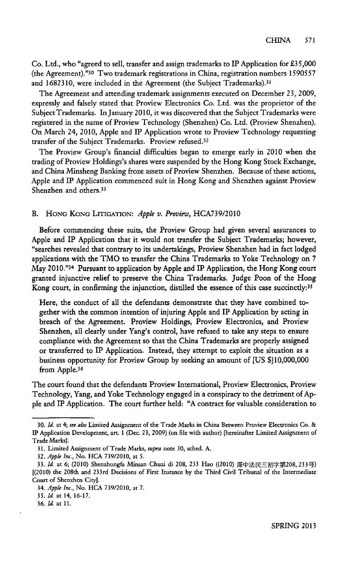**Co.** Ltd., who "agreed to sell, transfer and assign trademarks to IP Application for *£35,000* (the Agreement)."30 Two trademark registrations in China, registration numbers *1590557* and 1682310, were included in the Agreement (the Subject Trademarks).<sup>31</sup>

The Agreement and attending trademark assignments executed on December **23, 2009,** expressly and falsely stated that Proview Electronics Co. Ltd. was the proprietor of the Subject Trademarks. In January **2010,** it was discovered that the Subject Trademarks were registered in the name of Proview Technology (Shenzhen) Co. Ltd. (Proview Shenzhen). On March 24, *2010,* Apple and IP Application wrote to Proview Technology requesting transfer of the Subject Trademarks. Proview refused.<sup>32</sup>

The Proview Group's financial difficulties began to emerge early in 2010 when the trading of Proview Holdings's shares were suspended **by** the Hong Kong Stock Exchange, and China Minsheng Banking froze assets of Proview Shenzhen. Because of these actions, Apple and IP Application commenced suit in Hong Kong and Shenzhen against Proview Shenzhen and others.<sup>33</sup>

#### B. **HONG KONG LITIGATION:** *Apple v. Proview,* **HCA739/2010**

Before commencing these suits, the Proview Group had given several assurances to Apple and IP Application that it would not transfer the Subject Trademarks; however, "searches revealed that contrary to its undertakings, Proview Shenzhen had in fact lodged applications with the TMO to transfer the China Trademarks to Yoke Technology on **7** May 2010."34 Pursuant to application **by** Apple and IP Application, the Hong Kong court granted injunctive relief to preserve the China Trademarks. Judge Poon of the Hong Kong court, in confirming the injunction, distilled the essence of this case succinctly:<sup>35</sup>

Here, the conduct of all the defendants demonstrate that they have combined together with the common intention of injuring Apple and IP Application **by** acting in breach of the Agreement. Proview Holdings, Proview Electronics, and Proview Shenzhen, all clearly under Yang's control, have refused to take any steps to ensure compliance with the Agreement so that the China Trademarks are properly assigned or transferred to IP Application. Instead, they attempt to exploit the situation as a business opportunity for Proview Group **by** seeking an amount of **[US \$]10,000,000** from Apple.<sup>36</sup>

The court found that the defendants Proview International, Proview Electronics, Proview Technology, Yang, and Yoke Technology engaged in a conspiracy to the detriment of **Ap**ple and IP Application. The court further held: **"A** contract for valuable consideration to

*<sup>30.</sup> Id.* at *4;* see also Limited Assignment of the Trade Marks in China Between Proview Electronics Co. **&** IP Application Development, art. 1 (Dec. **23, 2009)** (on file with author) [hereinafter Limited Assignment of Trade Marks).

**<sup>31.</sup>** Limited Assignment of Trade Marks, *supra* note **30,** sched. **A.**

*<sup>32.</sup> Apple Inc.,* No. **HCA 739/2010,** at *5.*

<sup>33.</sup> *Id.* at 6; (2010) Shenzhongfa Minsan Chuzi di 208, 233 Hao ((2010) 深中法民三初字第208, 233号) [(2010) the 208th and 233rd Decisions of First Instance **by** the Third Civil Tribunal of the Intermediate Court of Shenzhen City].

*<sup>34.</sup> Apple Inc.,* No. **HCA 739/2010,** at **7.**

*<sup>35.</sup> Id.* at 14, **16-17.**

*<sup>36.</sup> Id.* at **11.**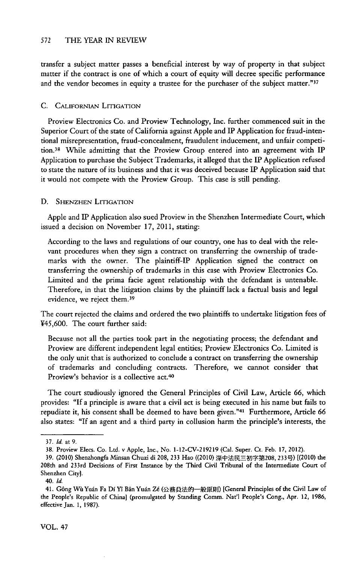transfer a subject matter passes a beneficial interest **by** way of property in that subject matter if the contract is one of which a court of equity will decree specific performance and the vendor becomes in equity a trustee for the purchaser of the subject matter."37

#### **C.** CAiFoRNIAN LITIGATION

Proview Electronics Co. and Proview Technology, Inc. further commenced suit **in** the Superior Court of the state of California against Apple and IP Application for fraud-intentional misrepresentation, fraud-concealment, fraudulent inducement, and unfair competition.38 While admitting that the Proview Group entered into an agreement with IP Application to purchase the Subject Trademarks, it alleged that the **IP** Application refused to state the nature of its business and that it was deceived because IP Application said that **it** would not compete with the Proview Group. This case is still pending.

#### **D. SHENZHEN LITIGATION**

Apple and IP Application also sued Proview in the Shenzhen Intermediate Court, which issued a decision on November **17,** 2011, stating:

According to the laws and regulations of our country, one has to deal with the relevant procedures when they sign a contract on transferring the ownership of trademarks with the owner. The plaintiff-IP Application signed the contract on transferring the ownership of trademarks in this case with Proview Electronics Co. Limited and the prima facie agent relationship with the defendant is untenable. Therefore, in that the litigation claims **by** the plaintiff lack a factual basis and legal evidence, we reject them.39

The court rejected the claims and ordered the two plaintiffs to undertake litigation fees of *V45,600.* The court further said:

Because not all the parties took part in the negotiating process; the defendant and Proview are different independent legal entities; Proview Electronics Co. Limited is the only unit that is authorized to conclude a contract on transferring the ownership of trademarks and concluding contracts. Therefore, we cannot consider that Proview's behavior is a collective act.<sup>40</sup>

The court studiously ignored the General Principles of Civil Law, Article **66,** which provides: **"If** a principle is aware that a civil act is being executed in his name but fails to repudiate it, his consent shall be deemed to have been given."<sup>4</sup> ' Furthermore, Article **66** also states: **"If** an agent and a third party in collusion harm the principle's interests, the

**<sup>37.</sup>** *Id.* at **9.**

**<sup>38.</sup>** Proview Elecs. Co. Ltd. v Apple, Inc., No. **1-12-CV-219219** (Cal. Super. Ct. Feb. **17,** 2012).

<sup>39. (2010)</sup> Shenzhongfa Minsan Chuzi di 208, 233 Hao ((2010) 深中法民三初字第208, 233号) [(2010) the 208th and 233rd Decisions of First Instance **by** the Third Civil Tribunal of the Intermediate Court of Shenzhen City].

<sup>40.</sup> *Id.*

<sup>41.</sup> Gông Wù Yuán Fa Dí Yî Bân Yuán Zé (公務員法的一般原則) [General Principles of the Civil Law of the People's Republic of China] (promulgated **by** Standing Comm. Nat'l People's Cong., Apr. 12, **1986,** effective Jan. **1, 1987).**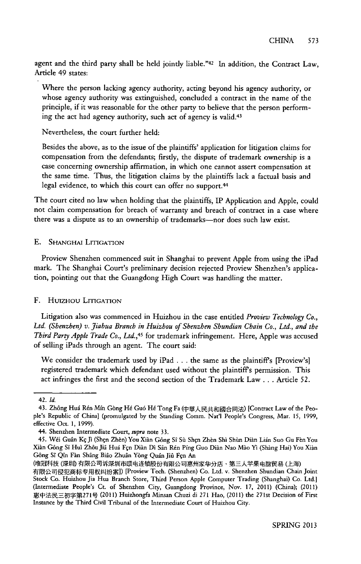agent and the third party shall be held jointly liable."<sup>42</sup> In addition, the Contract Law, Article 49 states:

Where the person lacking agency authority, acting beyond his agency authority, or whose agency authority was extinguished, concluded a contract in the name of the principle, if it was reasonable for the other party to believe that the person performing the act had agency authority, such act of agency is valid.<sup>43</sup>

Nevertheless, the court further held:

Besides the above, as to the issue of the plaintiffs' application for litigation claims for compensation from the defendants; firstly, the dispute of trademark ownership is a case concerning ownership affirmation, in which one cannot assert compensation at the same time. Thus, the litigation claims **by** the plaintiffs lack a factual basis and legal evidence, to which this court can offer no support.<sup>44</sup>

The court cited no law when holding that the plaintiffs, IP Application and Apple, could not claim compensation for breach of warranty and breach of contract in a case where there was a dispute as to an ownership of trademarks-nor does such law exist.

#### **E.** SHANGHAI **LITIGATION**

Proview Shenzhen commenced suit in Shanghai to prevent Apple from using the iPad mark. The Shanghai Court's preliminary decision rejected Proview Shenzhen's application, pointing out that the Guangdong **High** Court was handling the matter.

#### F. **Huizuou LrnGATION**

Litigation also was commenced in Huizhou in the case entitled *Proview Technology Co., Ltd. (Shenzhen) v. Jiabua Branch in Huizhou of Shenzhen Shundian Chain Co., Ltd., and the Third Party Apple Trade Co., Ltd.,45* for trademark infringement. Here, Apple was accused of selling iPads through an agent. The court said:

We consider the trademark used **by** iPad **.** . **.** the same as the plaintiffs [Proview's] registered trademark which defendant used without the plaintiffs permission. This act infringes the first and the second section of the Trademark Law **...** Article *52.*

<sup>42.</sup> *Id.*

<sup>43.</sup> Zhông Huá Rén Mín Gòng Hé Guó Hé Tong Fa (中華人民共和國合同法) [Contract Law of the People's Republic of China] (promulgated **by** the Standing Comm. Nat'l People's Congress, Mar. **15, 1999,** effective Oct. **1, 1999).**

<sup>44.</sup> Shenzhen Intermediate Court, supra note **33.**

<sup>45.</sup> Wéi Guân Kç Jì (Shçn Zhèn) You Xiàn Gông Sî Sù Shçn Zhèn Shì Shùn Diàn Lián Suo Gu Fèn You Xin G6ng Si Hui Zh6u JiS Hud Fqn *Dian* **Di** Sin Rtn Ping Guo Dian Nao Mao Yi (Shang Hai) You Xidn Gông Sî Qîn Fàn Shâng Biâo Zhuân Yòng Quán Jiû Fçn An

<sup>(</sup>唯冠科技 (深圳) 有限公司诉深圳市颐电连锁股份有限公司惠州家华分店、第三人苹果电脑贸易 (上海)

有限公司侵犯商标专用权纠纷案]) [Proview Tech. (Shenzhen) Co. Ltd. v. Shenzhen Shundian Chain Joint Stock Co. Huizhou Jia Hua Branch Store, Third Person Apple Computer Trading (Shanghai) Co. Ltd.] (Intermediate People's Ct. of Shenzhen City, Guangdong Province, Nov. **17,** 2011) (China); (2011) E AREnj g2719 (2011) Huizhongfa Minsan Chuzi di **271** Hao, (2011) the 271st Decision of First Instance **by** the Third Civil Tribunal of the Intermediate Court of Huizhou City.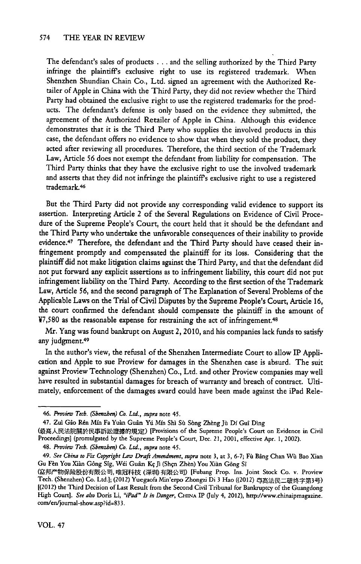The defendant's sales of products **.** . **.** and the selling authorized **by** the Third Party infringe the plaintiff's exclusive right to use its registered trademark. When Shenzhen Shundian Chain Co., Ltd. signed an agreement with the Authorized Retailer of Apple in China with the Third Party, they did not review whether the Third Party had obtained the exclusive right to use the registered trademarks for the products. The defendant's defense is only based on the evidence they submitted, the agreement of the Authorized Retailer of Apple in China. Although this evidence demonstrates that it is the Third Party who supplies the involved products in this case, the defendant offers no evidence to show that when they sold the product, they acted after reviewing all procedures. Therefore, the third section of the Trademark Law, Article *56* does not exempt the defendant from liability for compensation. The Third Party thinks that they have the exclusive right to use the involved trademark and asserts that they did not infringe the plaintiffs exclusive right to use a registered trademark<sup>46</sup>

But the Third Party did not provide any corresponding valid evidence to support its assertion. Interpreting Article 2 of the Several Regulations on Evidence of Civil Procedure of the Supreme People's Court, the court held that it should be the defendant and the Third Party who undertake the unfavorable consequences of their inability to provide evidence.47 Therefore, the defendant and the Third Party should have ceased their infringement promptly and compensated the plaintiff for its loss. Considering that the plaintiff did not make litigation claims against the Third Party, and that the defendant did not put forward any explicit assertions as to infringement liability, this court did not put infringement liability on the Third Party. According to the first section of the Trademark Law, Article **56,** and the second paragraph of The Explanation of Several Problems of the Applicable Laws on the Trial of Civil Disputes **by** the Supreme People's Court, Article **16,** the court confirmed the defendant should compensate the plaintiff in the amount of **Y7,580** as the reasonable expense for restraining the act of infringement.48

Mr. Yang was found bankrupt on August 2, 2010, and his companies lack funds to satisfy any judgment.<sup>49</sup>

In the author's view, the refusal of the Shenzhen Intermediate Court to allow IP **Appli**cation and Apple to sue Proview for damages in the Shenzhen case is absurd. The suit against Proview Technology (Shenzhen) Co., Ltd. and other Proview companies may well have resulted in substantial damages for breach of warranty and breach of contract. Ultimately, enforcement of the damages award could have been made against the iPad Rele-

*<sup>46.</sup> Preview Tech. (Shenzben) Co. Ltd., supra* note 45.

<sup>47.</sup> Zuì Gâo Rén Mín Fa Yuàn Guân Yú Mín Shì Sù Sòng Zhèng Jù Dí Guî Dìng

<sup>(</sup>最高人民法院關於民事訴訟證據的規定) [Provisions of the Supreme People's Court on Evidence in Civil Proceedings] (promulgated **by** the Supreme People's Court, Dec. *21, 2001,* effective Apr. **1,** 2002).

*<sup>48.</sup> Preview Tech. (Shenzben) Co. Ltd., supra* note 45.

*<sup>49.</sup> See China to Fix Copyright Law Draft Amendment, supra* note **3,** at **3, 6-7;** Fi Bing Chan *Wu* Bao Xian Gu Fèn You Xiàn Gông Sîg, Wéi Guân Kç Jì (Shen Zhèn) You Xiàn Gông Sî

<sup>(</sup>富邦产物保险股份有限公司, 唯冠科技 (深圳) 有限公司) [Fubang Prop. Ins. Joint Stock Co. v. Proview **Tech. (Shenzhen) Co. Ltd.]; (2012) Yuegaofa Min'erpo Zhongzi Di 3 Hao ((2012)** 3 [(2012) the Third Decision of Last Result from the Second Civil Tribunal for Bankruptcy of the Guangdong **High** Court]. *See also* Doris Li, *"iPad" Is in Danger,* **CHINA** *IP* (July 4, 2012), http-/www.chinaipmagazine. com/en/journal-show.asp?id=833.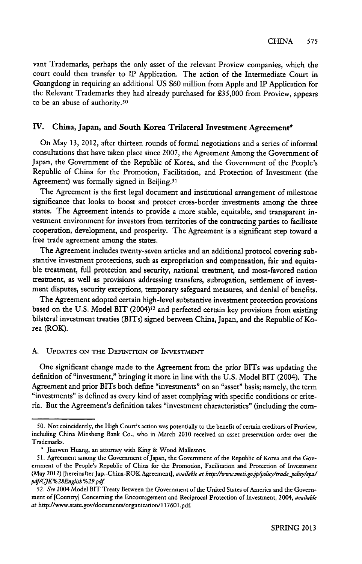vant Trademarks, perhaps the only asset of the relevant Proview companies, which the court could then transfer to IP Application. The action of the Intermediate Court in Guangdong in requiring an additional **US \$60** million from Apple and IP Application for the Relevant Trademarks they had already purchased for **£35,000** from Proview, appears to be an abuse of authority.50

## **IV.** China, Japan, **and South Korea Trilateral Investment Agreement\***

On May **13,** 2012, after thirteen rounds of formal negotiations and a series of informal consultations that have taken place since **2007,** the Agreement Among the Government of Japan, the Government of the Republic of Korea, and the Government of the People's Republic of China for the Promotion, Facilitation, and Protection of Investment (the Agreement) was formally signed in Beijing.<sup>51</sup>

The Agreement is the first legal document and institutional arrangement of milestone significance that looks to boost and protect cross-border investments among the three states. The Agreement intends to provide a more stable, equitable, and transparent investment environment for investors from territories of the contracting parties to facilitate cooperation, development, and prosperity. The Agreement is a significant step toward a free trade agreement among the states.

The Agreement includes twenty-seven articles and an additional protocol covering substantive investment protections, such as expropriation and compensation, fair and equitable treatment, full protection and security, national treatment, and most-favored nation treatment, as well as provisions addressing transfers, subrogation, settlement of investment disputes, security exceptions, temporary safeguard measures, and denial of benefits.

The Agreement adopted certain high-level substantive investment protection provisions based on the U.S. Model BIT (2004)<sup>52</sup> and perfected certain key provisions from existing bilateral investment treaties (BITs) signed between China, Japan, and the Republic of Korea (ROK).

## **A. UPDATES** ON THE DEFINITION OF **INVESTMENT**

One significant change made to the Agreement from the prior BITs was updating the definition of "investment," bringing it more in line with the **U.S.** Model BIT (2004). The Agreement and prior BITs both define "investments" on an "asset" basis; namely, the term "investments" is defined as every kind of asset complying with specific conditions or criteria. But the Agreement's definition takes "investment characteristics" (including the com-

**<sup>50.</sup>** Not coincidently, the **High** Court's action was potentially to the benefit of certain creditors of Proview, including China Minsheng Bank Co., who in March 2010 received an asset preservation order over the Trademarks.

**<sup>\*</sup>** Jianwen Huang, an attorney with King **&** Wood Mallesons.

*<sup>51.</sup>* Agreement among the Government of Japan, the Government of the Republic of Korea and the Government of the People's Republic of China for the Promotion, Facilitation and Protection of Investment (May 2012) [hereinafter Jap.-China-ROK Agreement], *available at bttp://ww.meti.gojp/policy/trade-polity/epa/ pdf/CJK%28English%29.pdf*

*<sup>52.</sup> See* 2004 Model BIT Treaty Between the Government of the United States of America and the Government of [Country] Concerning the Encouragement and Reciprocal Protection of Investment, 2004, *available* at http://www.state.gov/documents/organization/1 **17601 .pdf.**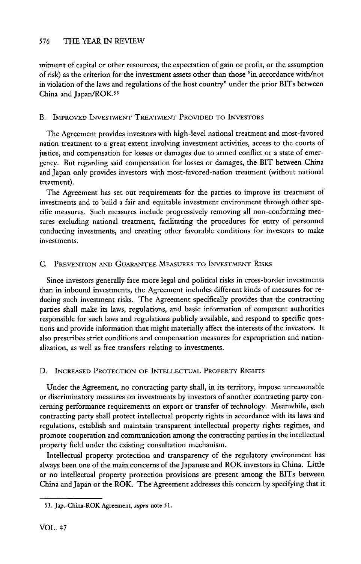mitment of capital or other resources, the expectation of gain or profit, or the assumption of risk) as the criterion for the investment assets other than those "in accordance with/not in violation of the laws and regulations of the host country" under the prior BITs between China and Japan/ROK.53

#### B. IMPROVED **INVESTMENT** TREATMENT PROVIDED **TO INVESTORS**

The Agreement provides investors with high-level national treatment and most-favored nation treatment to a great extent involving investment activities, access to the courts of justice, and compensation for losses or damages due to armed conflict or a state of emergency. But regarding said compensation for losses or damages, the BIT between China and Japan only provides investors with most-favored-nation treatment (without national treatment).

The Agreement has set out requirements for the parties to improve **its** treatment of investments and to build a fair and equitable investment environment through other specific measures. Such measures include progressively removing all non-conforming measures excluding national treatment, facilitating the procedures for entry of personnel conducting investments, and creating other favorable conditions for investors to make investments.

## **C. PREVENTION AND** GUARANTEE **MEASURES TO** *INVESTMENT* **RISKS**

Since investors generally face more legal and political risks in cross-border investments than in inbound investments, the Agreement includes different kinds of measures for reducing such investment risks. The Agreement specifically provides that the contracting parties shall make **its** laws, regulations, and basic information of competent authorities responsible for such laws and regulations publicly available, and respond to specific questions and provide information that might materially affect the interests of the investors. It also prescribes strict conditions and compensation measures for expropriation and nationalization, as well as free transfers relating to investments.

#### **D. INCREASED PROTECTION OF INTELLECTUAL PROPERTY RIGHTS**

Under the Agreement, no contracting party shall, in **its** territory, impose unreasonable or discriminatory measures on investments **by** investors of another contracting party concerning performance requirements on export or transfer of technology. Meanwhile, each contracting party shall protect intellectual property rights in accordance with **its** laws and regulations, establish and maintain transparent intellectual property rights regimes, and promote cooperation and communication among the contracting parties in the intellectual property field under the existing consultation mechanism.

Intellectual property protection and transparency of the regulatory environment has always been one of the main concerns of the Japanese and ROK investors in China. Little or no intellectual property protection provisions are present among the **BITs** between China and Japan or the ROK. The Agreement addresses this concern **by** specifying that **it**

**<sup>53.</sup> Jap.-China-ROK Agreement,** *supra* **note 51.**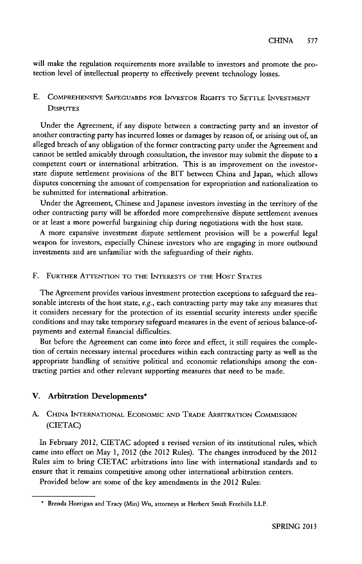will make the regulation requirements more available to investors and promote the protection level of intellectual property to effectively prevent technology losses.

## **E.** COMPREHENSIVE **SAFEGUARDS FOR INVESTOR RIGHTS TO SETTLE INVESTMENT DISPUTES**

Under the Agreement, if any dispute between a contracting party and an investor of another contracting party has incurred losses or damages **by** reason of, or arising out **of,** an alleged breach of any obligation of the former contracting party under the Agreement and cannot be settled amicably through consultation, the investor may submit the dispute to a competent court or international arbitration. This is an improvement on the investorstate dispute settlement provisions of the BIT between China and Japan, which allows disputes concerning the amount of compensation for expropriation and nationalization to be submitted for international arbitration.

Under the Agreement, Chinese and Japanese investors investing in the territory of the other contracting party will be afforded more comprehensive dispute settlement avenues or at least a more powerful bargaining chip during negotiations with the host state.

**A** more expansive investment dispute settlement provision will be a powerful legal weapon for investors, especially Chinese investors who are engaging in more outbound investments and are unfamiliar with the safeguarding of their rights.

## F. **FURTHER ATrENTION TO THE INTERESTS OF THE HOST STATES**

The Agreement provides various investment protection exceptions to safeguard the reasonable interests of the host state, e.g., each contracting party may take any measures that **it** considers necessary for the protection of its essential security interests under specific conditions and may take temporary safeguard measures in the event of serious balance-ofpayments and external financial difficulties.

But before the Agreement can come into force and effect, **it** still requires the completion of certain necessary internal procedures within each contracting party as well as the appropriate handling of sensitive political and economic relationships among the contracting parties and other relevant supporting measures that need to be made.

#### V. Arbitration Developments\*

## **A. CHINA INTERNATIONAL ECONOMIC AND TRADE ARBITRATION COMMISSION** (CIETAC)

In February 2012, **CIETAC** adopted a revised version of **its** institutional rules, which came into effect on May **1,** 2012 (the 2012 Rules). The changes introduced **by** the 2012 Rules aim to bring **CIETAC** arbitrations into line with international standards and to ensure that **it** remains competitive among other international arbitration centers.

Provided below are some of the key amendments in the 2012 Rules:

**<sup>\*</sup> Brenda** Horrigan and Tracy (Min) Wu, attorneys at Herbert Smith Freehills LLP.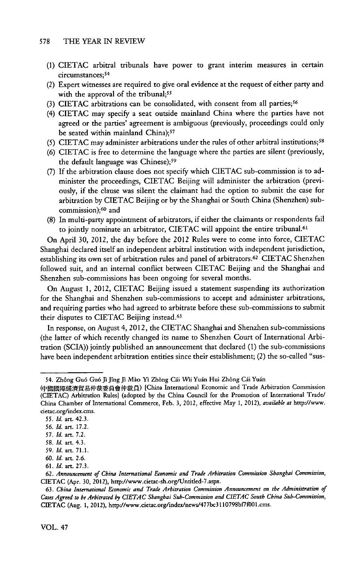- **(1) CIETAC** arbitral tribunals have power to grant interim measures in certain circumstances;<sup>54</sup>
- *(2)* Expert witnesses are required to give oral evidence at the request of either party and with the approval of the tribunal;<sup>55</sup>
- **(3) CIETAC** arbitrations can be consolidated, with consent from all parties;<sup>56</sup>
- (4) **CIETAC** may specify a seat outside mainland China where the parties have not agreed or the parties' agreement is ambiguous (previously, proceedings could only be seated within mainland China);<sup>57</sup>
- (5) CIETAC may administer arbitrations under the rules of other arbitral institutions;<sup>58</sup>
- **(6)** CIETAC is free to determine the language where the parties are silent (previously, the default language was Chinese);<sup>59</sup>
- **(7) If** the arbitration clause does not specify which **CIETAC** sub-commission is to administer the proceedings, **CIETAC** Beijing will administer the arbitration (previously, if the clause was silent the claimant had the option to submit the case for arbitration **by CIETAC** Beijing or **by** the Shanghai or South China (Shenzhen) subcommission);<sup>60</sup> and
- **(8)** In multi-party appointment of arbitrators, if either the claimants or respondents fail to jointly nominate an arbitrator, CIETAC will appoint the entire tribunal.<sup>61</sup>

On April **30,** 2012, the day before the 2012 Rules were to come into force, **CIETAC** Shanghai declared itself an independent arbitral institution with independent jurisdiction, establishing its own set of arbitration rules and panel of arbitrators.62 **CIETAC** Shenzhen followed suit, and an internal conflict between **CIETAC** Beijing and the Shanghai and Shenzhen sub-commissions has been ongoing for several months.

On August **1,** 2012, **CIETAC** Beijing issued a statement suspending its authorization for the Shanghai and Shenzhen sub-commissions to accept and administer arbitrations, and requiring parties who had agreed to arbitrate before these sub-commissions to submit their disputes to **CIETAC** Beijing instead. <sup>63</sup>

In response, on August 4, 2012, the CIETAC Shanghai and Shenzhen sub-commissions (the latter of which recently changed its name to Shenzhen Court of International Arbitration **(SCIA))** jointly published an announcement that declared **(1)** the sub-commissions have been independent arbitration entities since their establishment; (2) the so-called "sus-

<sup>54.</sup> Zhông Guó Guó Jì Jîng Jì Mào Yì Zhòng Cái Wìi Yuán Huì Zhòng Cái Yuán

<sup>(</sup>中國國際經濟貿易仲裁委員會仲裁員) [China International Economic and Trade Arbitration Commission (CIETAC) Arbitration Rules] (adopted **by** the China Council for the Promotion of International Trade/ China Chamber of International Commerce, Feb. **3,** 2012, effective May **1,** *2012), available at* http://www. cietac.org/index.cms.

*<sup>55.</sup> Id.* art. 42.3.

*<sup>56.</sup> Id.* art. **17.2.**

*<sup>57.</sup> Id.* art. **7.2.**

**<sup>58.</sup>** *Id.* art. 4.3.

*<sup>59.</sup> Id.* art. **71.1.**

**<sup>60.</sup>** *Id.* art. **2.6.**

*<sup>61.</sup> Id.* art. **27.3.**

*<sup>62.</sup> Announcement of China International Economic and Trade Arbitration Commimion Shanghai Commission,* **CIETAC** (Apr. **30,** 2012), http-//www.cietac-sh.org/Untitled-7.aspx.

*<sup>63.</sup> China International Economic and Trade Arbitration Commission Announcement on the Administration of Cases Agreed to be Arbitrated by CIETAC Shanghai Sub-Comminion and CIETAC South China Sub-Commission,* CIETAC (Aug. **1,** 2012), http-//www.cietac.org/index/news/477bc3110798bf7f001.cms.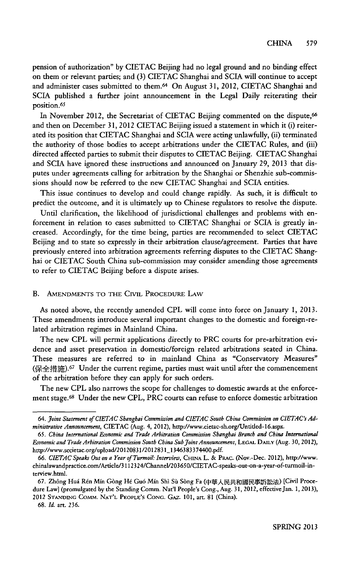pension of authorization" **by CIETAC** Beijing had no legal ground and no binding effect on them or relevant parties; and **(3)** CIETAC Shanghai and SCIA will continue to accept and administer cases submitted to them.64 On August **31,** 2012, **CIETAC** Shanghai and SCIA published a further joint announcement in the Legal Daily reiterating their position.<sup>65</sup>

In November 2012, the Secretariat of CIETAC Beijing commented on the dispute,<sup>66</sup> and then on December **31,** 2012 **CIETAC** Beijing issued a statement in which it (i) reiterated its position that **CIETAC** Shanghai and **SCIA** were acting unlawfully, (ii) terminated the authority of those bodies to accept arbitrations under the **CIETAC** Rules, and (iii) directed affected parties to submit their disputes to **CIETAC** Beijing. **CIETAC** Shanghai and SCIA have ignored these instructions and announced on January **29, 2013** that disputes under agreements calling for arbitration **by** the Shanghai or Shenzhie sub-commissions should now be referred to the new **CIETAC** Shanghai and SCIA entities.

This issue continues to develop and could change rapidly. As such, it is difficult to predict the outcome, and it is ultimately up to Chinese regulators to resolve the dispute.

Until clarification, the likelihood of jurisdictional challenges and problems with enforcement in relation to cases submitted to **CIETAC** Shanghai or **SCIA** is greatly increased. Accordingly, for the time being, parties are recommended to select **CIETAC** Beijing and to state so expressly in their arbitration clause/agreement. Parties that have previously entered into arbitration agreements referring disputes to the **CIETAC** Shanghai or **CIETAC** South China sub-commission may consider amending those agreements to refer to **CIETAC** Beijing before a dispute arises.

#### B. **AMENDMENTS** TO THE CIvIL PROCEDURE LAW

As noted above, the recently amended CPL will come into force on January **1, 2013.** These amendments introduce several important changes to the domestic and foreign-related arbitration regimes in Mainland China.

The new CPL will permit applications directly to PRC courts for pre-arbitration evidence and asset preservation in domestic/foreign related arbitrations seated in China. These measures are referred to in mainland China as "Conservatory Measures" (保全措施).<sup>67</sup> Under the current regime, parties must wait until after the commencement of the arbitration before they can apply for such orders.

The new CPL also narrows the scope for challenges to domestic awards at the enforcement stage.<sup>6</sup> 8 Under the new CPL, PRC courts can refuse to enforce domestic arbitration

**68.** *Id.* **art. 236.**

*<sup>64.</sup> Joint Statement of CIETAC Shanghai Commission and CIETAC South China Commission on CIETAC'sAdministrative Announcement,* **CIETAC** (Aug. **4,** 2012), http://www.cietac-sh.org/Untited-16.aspx.

*<sup>65.</sup> China International Economic and Trade Arbitration Commission Shanghai Branch and China International Economic and Trade Arbitration Commission South China Sub joint Announcement,* **LEGAL DAILY** (Aug. **30, 2012),** http://www.sccietac.org/upload/20120831/2012831\_1346383374400.pdf.

<sup>66.</sup> CIETAC Speaks Out on a Year of Turmoil: Interview, CHINA L. & PRAC. (Nov.-Dec. 2012), http://www. chinalawandpractice.com/Article/3112324/ChanneV203650/CIETAC-speaks-out-on-a-year-of-turmoil-interview.htmi.

**<sup>67.</sup>** Zh6ng Hui R6n Min Gbng **H6** Gu6 Min Shi **Si** Sbng Fa ( [Civil Procedure Law] (promulgated **by** the Standing Comm. Nat'I People's Cong., Aug. **31,** 2012, effective Jan. **1,** *2013),* 2012 **STANDING CoMm. NAT'L PEOPLE'S CONG.** GAZ. **101, art. 81** (China).